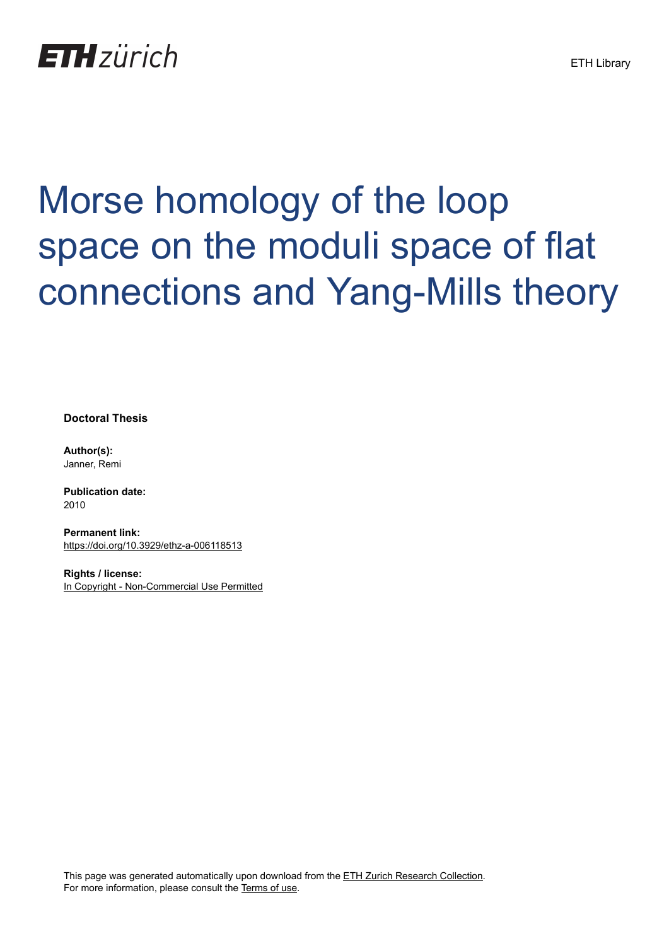## **ETH** zürich

# Morse homology of the loop space on the moduli space of flat connections and Yang-Mills theory

**Doctoral Thesis**

**Author(s):** Janner, Remi

**Publication date:** 2010

**Permanent link:** <https://doi.org/10.3929/ethz-a-006118513>

**Rights / license:** [In Copyright - Non-Commercial Use Permitted](http://rightsstatements.org/page/InC-NC/1.0/)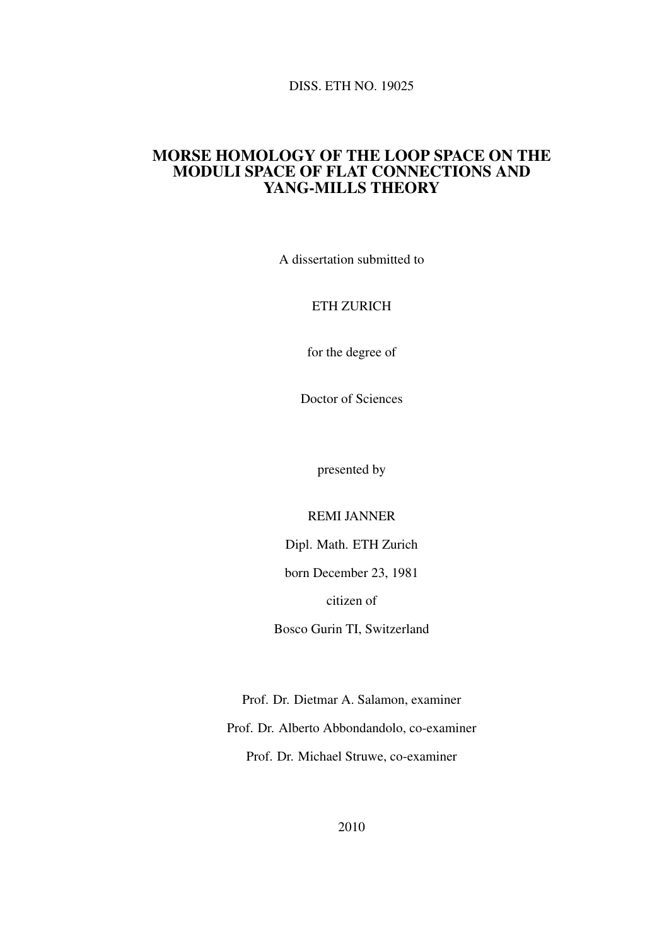#### DISS. ETH NO. 19025

#### MORSE HOMOLOGY OF THE LOOP SPACE ON THE MODULI SPACE OF FLAT CONNECTIONS AND YANG-MILLS THEORY

A dissertation submitted to

#### ETH ZURICH

for the degree of

Doctor of Sciences

presented by

REMI JANNER

Dipl. Math. ETH Zurich

born December 23, 1981

citizen of

Bosco Gurin TI, Switzerland

Prof. Dr. Dietmar A. Salamon, examiner Prof. Dr. Alberto Abbondandolo, co-examiner Prof. Dr. Michael Struwe, co-examiner

2010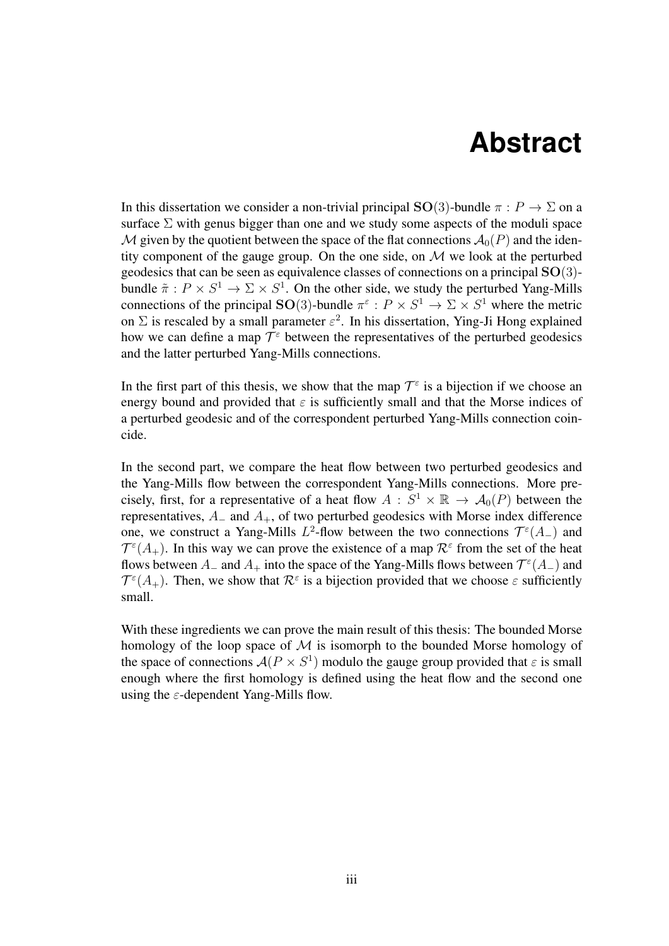## **Abstract**

In this dissertation we consider a non-trivial principal  $SO(3)$ -bundle  $\pi : P \to \Sigma$  on a surface  $\Sigma$  with genus bigger than one and we study some aspects of the moduli space M given by the quotient between the space of the flat connections  $\mathcal{A}_0(P)$  and the identity component of the gauge group. On the one side, on  $M$  we look at the perturbed geodesics that can be seen as equivalence classes of connections on a principal  $SO(3)$ bundle  $\tilde{\pi}: P \times S^1 \to \Sigma \times S^1$ . On the other side, we study the perturbed Yang-Mills connections of the principal SO(3)-bundle  $\pi^{\epsilon}: P \times S^1 \to \Sigma \times S^1$  where the metric on  $\Sigma$  is rescaled by a small parameter  $\varepsilon^2$ . In his dissertation, Ying-Ji Hong explained how we can define a map  $\mathcal{T}^{\varepsilon}$  between the representatives of the perturbed geodesics and the latter perturbed Yang-Mills connections.

In the first part of this thesis, we show that the map  $\mathcal{T}^{\varepsilon}$  is a bijection if we choose an energy bound and provided that  $\varepsilon$  is sufficiently small and that the Morse indices of a perturbed geodesic and of the correspondent perturbed Yang-Mills connection coincide.

In the second part, we compare the heat flow between two perturbed geodesics and the Yang-Mills flow between the correspondent Yang-Mills connections. More precisely, first, for a representative of a heat flow  $A : S^1 \times \mathbb{R} \to A_0(P)$  between the representatives,  $A_$  and  $A_+$ , of two perturbed geodesics with Morse index difference one, we construct a Yang-Mills  $L^2$ -flow between the two connections  $\mathcal{T}^{\varepsilon}(A_{-})$  and  $\mathcal{T}^{\varepsilon}(A_{+})$ . In this way we can prove the existence of a map  $\mathcal{R}^{\varepsilon}$  from the set of the heat flows between  $A_-\$  and  $A_+$  into the space of the Yang-Mills flows between  $\mathcal{T}^{\epsilon}(A_-)$  and  $\mathcal{T}^{\varepsilon}(A_+)$ . Then, we show that  $\mathcal{R}^{\varepsilon}$  is a bijection provided that we choose  $\varepsilon$  sufficiently small.

With these ingredients we can prove the main result of this thesis: The bounded Morse homology of the loop space of  $M$  is isomorph to the bounded Morse homology of the space of connections  $A(P \times S^1)$  modulo the gauge group provided that  $\varepsilon$  is small enough where the first homology is defined using the heat flow and the second one using the  $\varepsilon$ -dependent Yang-Mills flow.